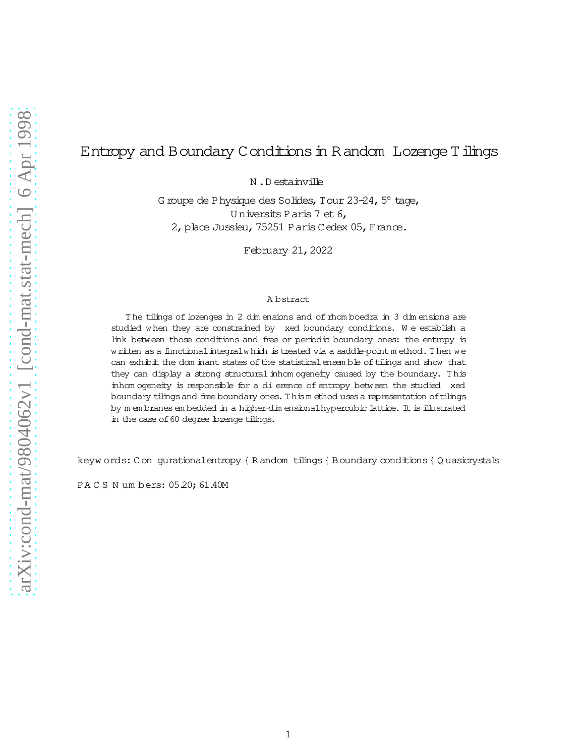# Entropy and Boundary Conditions in Random Lozenge Tilings

N.Destainville

G roupe de Physique des Solides, Tour 23-24, 5<sup>e</sup> tage, Universits Paris 7 et 6, 2, place Jussieu, 75251 Paris Cedex 05, France.

February 21, 2022

#### A bstract

The tilings of lozenges in 2 dimensions and of thom boedra in 3 dimensions are studied when they are constrained by xed boundary conditions. We establish a link between those conditions and free or periodic boundary ones: the entropy is w ritten as a functional integral which is treated via a saddle-point method. Then we can exhibit the dom inant states of the statistical ensemble of tilings and show that they can display a strong structural inhomogeneity caused by the boundary. This inhomogeneity is responsible for a di erence of entropy between the studied xed boundary tilings and free boundary ones. This method uses a representation of tilings by m embranes embedded in a higher-dimensional hypercubic lattice. It is illustrated in the case of 60 degree lozenge tilings.

keyw ords: Con gurationalentropy { Random tilings { Boundary conditions { Quasicrystals

PACS Numbers: 05.20; 61.40M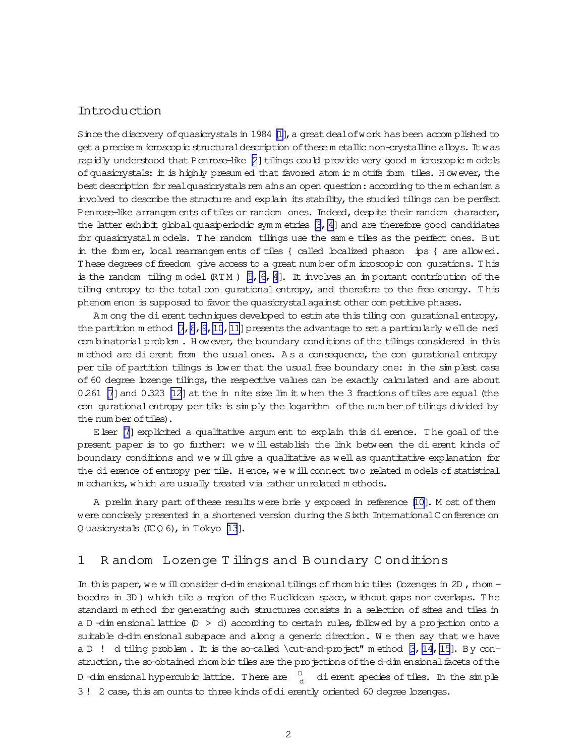## <span id="page-1-0"></span>Introduction

Since the discovery of quasicrystals in 1984  $[\![1]\!]$ , a great dealofwork has been accom plished to geta precise m icroscopic structuraldescription ofthese m etallic non-crystalline alloys. Itwas rapidly understood that Penrose-like  $[2]$  tilings could provide very good m icroscopic m odels of quasicrystals: it is highly presum ed that favored atom ic m otifs form tiles. H owever, the best description for real quasicrystals rem ains an open question: according to them echanism s involved to describe the structure and explain its stability, the studied tilings can be perfect Penrose-like arrangem ents of tiles or random ones. Indeed, despite their random character, the latter exhibit global quasiperiodic sym m etries  $[3, 4]$  and are therefore good candidates for quasicrystal m odels. T he random tilings use the sam e tiles as the perfect ones. But in the form er, local rearrangem ents of tiles { called localized phason 
ips { are allowed. These degrees of freedom give access to a great number of m icroscopic con qurations. This is the random tiling m odel  $(RTM)$  [\[5](#page-17-0), 6, 4]. It involves an im portant contribution of the tiling entropy to the total con qurational entropy, and therefore to the free energy. This phenom enon is supposed to favor the quasicrystal against other competitive phases.

Am ong the dierent techniques developed to estim ate this tiling con gurational entropy, the partition m ethod  $[7, 8, 9, 10, 11]$  $[7, 8, 9, 10, 11]$  $[7, 8, 9, 10, 11]$  $[7, 8, 9, 10, 11]$  $[7, 8, 9, 10, 11]$  presents the advantage to set a particularly well de ned com binatorial problem . However, the boundary conditions of the tilings considered in this m ethod are dierent from the usual ones. As a consequence, the con qurational entropy per tile of partition tilings is lower that the usual free boundary one: in the simplest case of 60 degree lozenge tilings, the respective values can be exactly calculated and are about  $0.261$  [\[7](#page-17-0)] and  $0.323$  [\[12](#page-18-0)] at the in nite size lim it when the 3 fractions of tiles are equal (the con gurational entropy per tile is  $\sin py$  the logarithm of the num ber of tilings divided by the num ber of tiles).

Elser [\[7](#page-17-0)] explicited a qualitative argum ent to explain this dierence. T he goal of the present paper is to go further: we w ill establish the link between the dierent kinds of boundary conditions and we will give a qualitative as well as quantitative explanation for the dierence of entropy per tile. Hence, we will connect two related m odels of statistical m echanics,w hich are usually treated via rather unrelated m ethods.

A prelim inary part ofthese results were brie
y exposed in reference [\[10\]](#page-17-0). M ost ofthem were concisely presented in a shortened version during the Sixth InternationalC onference on Q uasicrystals  $(ICQ 6)$ , in Tokyo [\[13](#page-18-0)].

## 1 R andom Lozenge T ilings and B oundary C onditions

In this paper, we will consider d-dim ensional tilings of thom bic tiles (lozenges in 2D, thom  $$ boedra in 3D) which tile a region of the Euclidean space, without gaps nor overlaps. The standard m ethod for generating such structures consists in a selection of sites and tiles in a D -dim ensional lattice  $(D > d)$  according to certain rules, followed by a projection onto a suitable d-dim ensional subspace and along a generic direction. We then say that we have a D ! d tiling problem. It is the so-called \cut-and-project" m ethod  $\beta$ , 14, 15]. By construction, the so-obtained rhom bic tiles are the projections of the d-dim ensional facets of the D -dim ensional hypercubic lattice. There are  $\frac{D}{d}$ dierent species of tiles. In the sim ple 3! 2 case, this am ounts to three kinds of dierently oriented 60 degree lozenges.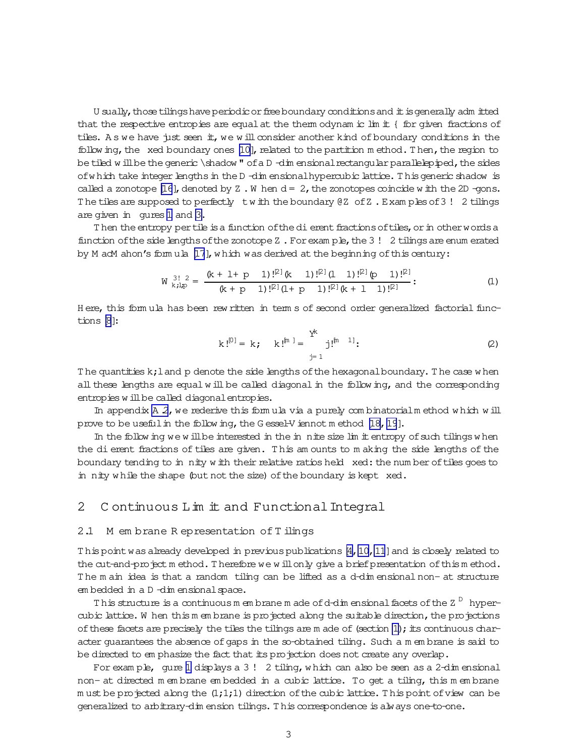U sually, those tilings have periodic or free boundary conditions and it is generally adm itted that the respective entropies are equal at the therm odynam ic lim it { for given fractions of tiles. As we have just seen it, we will consider another kind of boundary conditions in the following, the xed boundary ones  $[10]$ , related to the partition method. Then, the region to be tiled will be the generic \shadow" of a D-dim ensional rectangular parallelepiped, the sides of which take integer lengths in the D-dim ensional hypercubic lattice. This generic shadow is called a zonotope [16], denoted by  $Z \cdot W$  hen  $d = 2$ , the zonotopes coincide with the 2D -gons. The tiles are supposed to perfectly twith the boundary @ Z of Z. Examples of 3! 2 tilings are given in gures 1 and 3.

Then the entropy per tile is a function of the dierent fractions of tiles, or in other words a function of the side lengths of the zonotope Z. For example, the 3! 2 tilings are enum erated by M adM ahon's formula [17], which was derived at the beginning of this century:

$$
W_{k,l,p}^{3!2} = \frac{(k + l + p \ 1) \cdot l^{[2]}(k \ 1) \cdot l^{[2]}(l \ 1) \cdot l^{[2]}(p \ 1) \cdot l^{[2]}}{(k + p \ 1) \cdot l^{[2]}(l + p \ 1) \cdot l^{[2]}(k + 1 \ 1) \cdot l^{[2]}}.
$$
 (1)

Here, this formula has been rew ritten in term s of second order generalized factorial functions [8]:

$$
k!^{[0]} = k; \quad k!^{[m]} = \sum_{j=1}^{Y^{k}} j!^{[m-1]}; \tag{2}
$$

The quantities  $k$ ; l and p denote the side lengths of the hexagonal boundary. The case when all these lengths are equal will be called diagonal in the following, and the corresponding entropies will be called diagonal entropies.

In appendix  $A$  2, we rederive this formula via a purely combinatorial method which will prove to be useful in the following, the Gessel-V iennot method [18, 19].

In the following we will be interested in the in nite size limit entropy of such tilings when the dierent fractions of tiles are given. This amounts to making the side lengths of the boundary tending to in nity with their relative ratios held xed: the num ber of tiles goes to in nity while the shape (but not the size) of the boundary is kept xed.

#### 2 Continuous Lim it and Functional Integral

#### 2.1 M embrane Representation of Tilings

This point was already developed in previous publications [4, 10, 11] and is closely related to the cut-and-project method. Therefore we will only give a brief presentation of this method. The main idea is that a random tiling can be lifted as a d-dimensional non- at structure embedded in a D-dim ensional space.

This structure is a continuous m embrane m ade of d-dim ensional facets of the Z<sup>D</sup> hypercubic lattice. W hen this m embrane is projected along the suitable direction, the projections of these facets are precisely the tiles the tilings are m ade of (section 1); its continuous character quarantees the absence of gaps in the so-obtained tiling. Such a m embrane is said to be directed to em phasize the fact that its projection does not create any overlap.

For example, gure 1 displays a 3! 2 tiling, which can also be seen as a 2-dim ensional non- at directed m embrane embedded in a cubic lattice. To get a tiling, this m embrane must be projected along the  $(1,1,1)$  direction of the cubic lattice. This point of view can be generalized to arbitrary-dimension tilings. This correspondence is always one-to-one.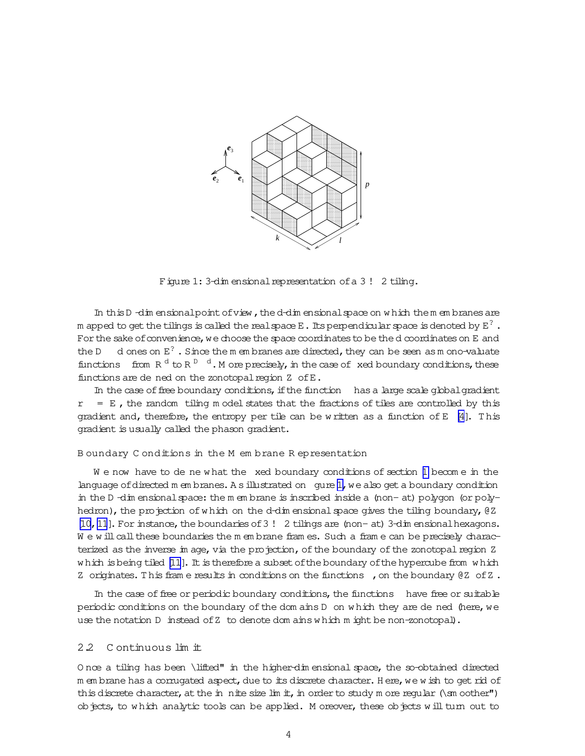<span id="page-3-0"></span>

Figure 1: 3-dim ensional representation of a 3! 2 tiling.

In this  $D$  -dim ensional point of view, the d-dim ensional space on w hich them em branes are m apped to get the tilings is called the real space E . Its perpendicular space is denoted by  $E^?$  . For the sake of convenience, we choose the space coordinates to be the d coordinates on E and the D d ones on  $E^2$ . Since the m em branes are directed, they can be seen as m ono-valuate functions from  $R^{d}$  to  $R^{D-d}$ . M ore precisely, in the case of xed boundary conditions, these functions are de ned on the zonotopal region Z of E.

In the case of free boundary conditions, if the function has a large scale global gradient  $r = E$ , the random tiling m odel states that the fractions of tiles are controlled by this gradient and, therefore, the entropy per tile can be w ritten as a function of E  $[4]$ . This gradient is usually called the phason gradient.

### B oundary C onditions in the M em brane R epresentation

We now have to de new hat the xed boundary conditions of section [1](#page-1-0) become in the language of directed m em branes. A sillustrated on gure 1, we also get a boundary condition in the D-dim ensional space: the m em brane is inscribed inside a (non- at) polygon (or polyhedron), the projection of which on the d-dim ensional space gives the tiling boundary,  $QZ$ [\[10,](#page-17-0) [11](#page-18-0)]. For instance, the boundaries of 3! 2 tilings are (non- at) 3-dim ensional hexagons. W e w ill call these boundaries the m em brane fram es. Such a fram e can be precisely characterized as the inverse im age, via the projection, of the boundary of the zonotopal region Z w hich is being tiled [\[11](#page-18-0)]. It is therefore a subset of the boundary of the hypercube from w hich Z originates. This frame results in conditions on the functions , on the boundary  $QZ$  of Z.

In the case of free or periodic boundary conditions, the functions have free or suitable periodic conditions on the boundary of the dom ains D on which they are de ned (here, we use the notation D instead of Z to denote dom ains w hich m ight be non-zonotopal).

## 2.2 C ontinuous lim it

O nce a tiling has been \lifted" in the higher-dim ensional space, the so-obtained directed m em brane has a corrugated aspect, due to its discrete character. Here, we w ish to get rid of this discrete character, at the in nite size lim it, in order to study m ore regular  $(\mathsf{sm}\, \text{other")}$ objects, to w hich analytic tools can be applied. M oreover, these objects w ill turn out to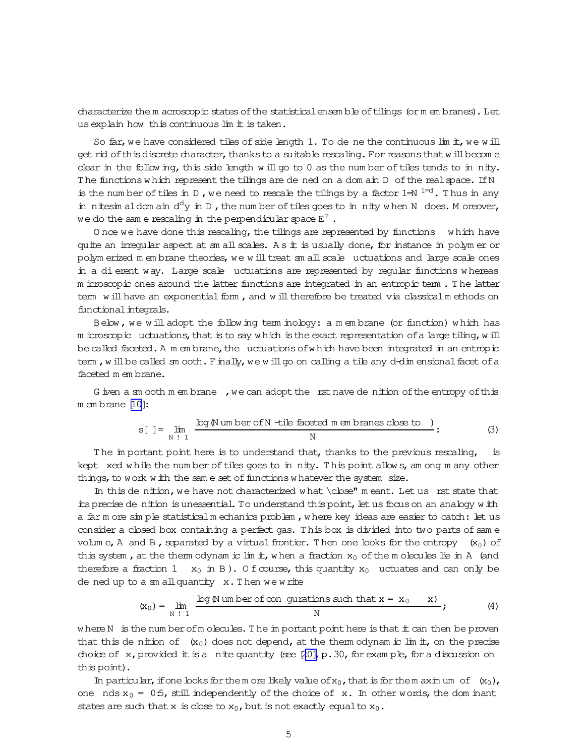characterize the m acroscopic states of the statistical ensemble of tilings (or m em branes). Let us explain how this continuous lim it is taken.

So far, we have considered tiles of side length  $1.$  To de ne the continuous lim it, we will get rid of this discrete character, thanks to a suitable rescaling. For reasons that will become clear in the follow ing, this side length will go to  $0$  as the number of tiles tends to in nity. The functions which represent the tilings are de ned on a dom ain D of the real space. If N is the num ber of tiles in D, we need to rescale the tilings by a factor  $1= N^{1=d}$ . Thus in any in nitesim aldom ain  $d^d y$  in D, the num ber of tiles goes to in nity w hen N does. M oreover, we do the same rescaling in the perpendicular space  $E^?$  .

O nce we have done this rescaling, the tilings are represented by functions  $w$  which have quite an irregular aspect at sm all scales. A s it is usually done, for instance in polym er or polym erized m em brane theories, we w illtreat sm allscale 
uctuations and large scale ones in a dierent way. Large scale 
uctuations are represented by regular functions w hereas m icroscopic ones around the latter functions are integrated in an entropic term . T he latter term w ill have an exponential form, and w ill therefore be treated via classical  $m$  ethods on functional integrals.

Below , we w ill adopt the follow ing term inology: a m em brane (or function) w hich has m icroscopic uctuations, that is to say w hich is the exact representation of a large tiling, w ill be called faceted. A m em brane, the uctuations of which have been integrated in an entropic tem, w ill be called sm ooth. Finally, we will go on calling a tile any d-dim ensional facet of a faceted m em brane.

G iven a sm ooth m embrane , we can adopt the rst nave de nition of the entropy of this m em brane [\[10\]](#page-17-0):

$$
s[ ] = \lim_{N \atop N \, | \, 1} \frac{\log N \, \text{um ber of } N \, \text{ -tile facted } m \, \text{em branes close to }}{N} \, ; \tag{3}
$$

The im portant point here is to understand that, thanks to the previous rescaling, is kept xed w hile the num ber of tiles goes to in nity. This point allows, am ong m any other things, to work with the same set of functions w hatever the system size.

In this de nition, we have not characterized what \close" m eant. Let us rst state that its precise de nition is unessential. To understand this point, let us focus on an analogy w ith a far m ore sim ple statisticalm echanics problem , w here key ideas are easier to catch: let us consider a closed box containing a perfect gas. This box is divided into two parts of same volum e, A and B, separated by a virtual frontier. Then one looks for the entropy  $(x_0)$  of this system, at the therm odynam ic lim it, when a fraction  $x_0$  of the m olecules lie in A (and therefore a fraction 1  $x_0$  in B). O f course, this quantity  $x_0$  uctuates and can only be dened up to a sm allquantity x.T hen we w rite

$$
(\mathbf{x}_0) = \lim_{N \atop N \,|\, 1} \frac{\log \mathcal{N} \text{ um ber of con} \text{ guarantees such that } \mathbf{x} = \mathbf{x}_0 \qquad \mathbf{x})}{N}; \tag{4}
$$

where  $N$  is the num ber of m olecules. The im portant point here is that it can then be proven that this de nition of  $(x_0)$  does not depend, at the therm odynam ic lim it, on the precise choice of x, provided it is a nite quantity (see  $[20]$ , p.30, for exam ple, for a discussion on this point).

In particular, if one looks for them ore likely value of  $x_0$ , that is for them axim um of  $(x_0)$ , one nds  $x_0 = 0.5$ , still independently of the choice of x. In other words, the dom inant states are such that x is close to  $x_0$ , but is not exactly equal to  $x_0$ .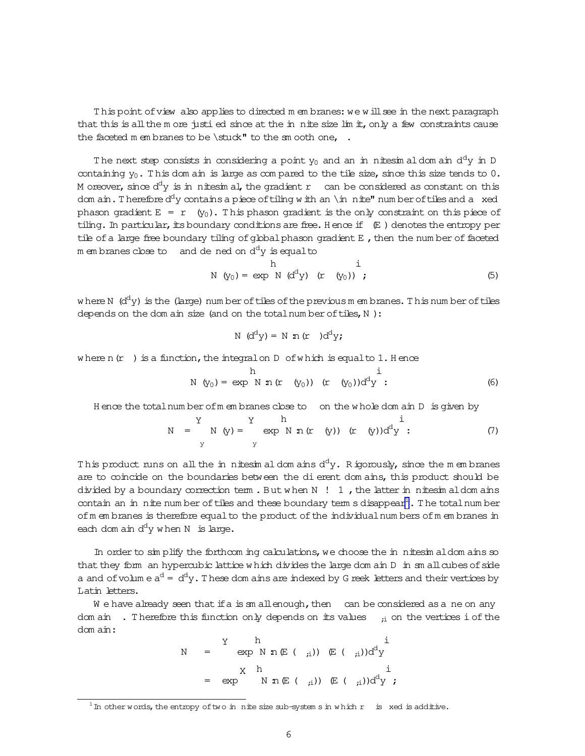This point of view also applies to directed m em branes: we will see in the next paragraph that this is all the m ore justi ed since at the in nite size  $\lim_{n \to \infty} \frac{1}{n}$  only a few constraints cause the faceted m em branes to be  $\stat'$  to the sm ooth one, .

The next step consists in considering a point  $y_0$  and an in nitesim aldom ain  ${\rm d^d y}$  in D containing  $y_0$ . This dom ain is large as com pared to the tile size, since this size tends to  $0$ . M oreover, since  $\text{d}^\text{d} \text{y}$  is in nitesimal, the gradient r can be considered as constant on this dom ain. Therefore  $d^{d}y$  contains a piece of tiling with an \in nite" num ber of tiles and a xed phason gradient  $E = r(y_0)$ . This phason gradient is the only constraint on this piece of tiling. In particular, its boundary conditions are free. H ence if  $(E)$  denotes the entropy per tile of a large free boundary tiling of global phason gradient  $E$ , then the num ber of faceted membranes close to and de ned on  $\textup{d}^\textup{d}\textup{y}$  is equalto

$$
N (y0) = exp N (ddy) (r (y0)) ; \t(5)
$$

where N  $\rm\ (d^d y)$  is the (large) num ber of tiles of the previousm em branes. This num ber of tiles depends on the dom ain size (and on the totalnum ber of tiles, N):

$$
N \ (d^dy) = N \ n (r) d^dy;
$$

where n( $r$ ) is a function, the integral on D of which is equal to 1. H ence

$$
N (y_0) = exp N n (r (y_0)) (r (y_0))d^{d}y : \t\t(6)
$$

H ence the totalnum berofm em branes close to on the w hole dom ain D is given by

$$
N = \begin{cases} Y & h \\ N & (y) = \begin{cases} Y & h \\ Y & Y \end{cases} \exp(N n (r (y)) (r (y))d^{d}y ; \end{cases}
$$
 (7)

This product runs on all the in nitesim al dom ains  $\text{d}^{\text{d}}\text{y}$ . Rigorously, since the m em branes are to coincide on the boundaries between the dierent dom ains, this product should be divided by a boundary correction term. But when  $N$  ! 1, the latter in nitesim aldom ains contain an in nite num ber of tiles and these boundary term s disappear<sup>1</sup>. The total num ber of m em branes is therefore equal to the product of the individual num bers of m em branes in each dom ain  $d^d y$  when N is large.

In order to  $\sin$  plify the forthcom ing calculations, we choose the in nitesim aldom ains so that they form an hypercubic lattice w hich divides the large dom ain D in sm all cubes of side a and ofvolum e  $\mathrm{a}^\mathrm{d}$  =  $\mathrm{d}^\mathrm{d}$ y. These dom ains are indexed by G reek letters and their vertices by Latin letters.

W e have already seen that if a is sm allenough, then can be considered as a ne on any dom ain  $\cdot$ . Therefore this function only depends on its values  $\cdot$ <sub>i</sub> on the vertices i of the dom ain:

$$
N = \begin{array}{ccccc} Y & h & i \\ \exp N n \mathbb{E} \left( \begin{array}{c} i \end{array} \right) & \mathbb{E} \left( \begin{array}{c} i \end{array} \right) d^{d}y & i \\ & & \\ X & h & i \\ = \exp N n \mathbb{E} \left( \begin{array}{c} i \end{array} \right) & \mathbb{E} \left( \begin{array}{c} i \end{array} \right) d^{d}y & i \end{array}
$$

 $1$  In other words, the entropy of two in nite size sub-system s in which r is xed is additive.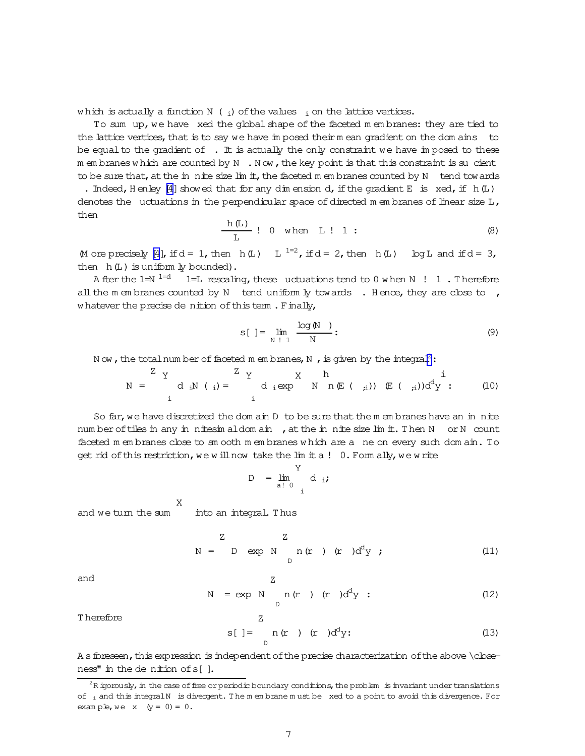<span id="page-6-0"></span>which is actually a function N ( $_i$ ) of the values  $_i$  on the lattice vertices.

To sum up, we have xed the global shape of the faceted m em branes: they are tied to the lattice vertices, that is to say we have im posed their m ean gradient on the dom ains to be equal to the gradient of  $\cdot$ . It is actually the only constraint we have imposed to these m em branes w hich are counted by  $N \cdot N$  ow, the key point is that this constraint is sucient to be sure that, at the in nite size  $\lim_{n \to \infty}$  the faceted m em branes counted by N tend towards

. Indeed, Henley [\[4\]](#page-17-0) showed that for any dim ension d, if the gradient E is  $xed$ , if  $h(L)$ denotes the uctuations in the perpendicular space of directed m embranes of linear size  $L$ , then

$$
\frac{h(L)}{L} : 0 \text{ when } L : 1 : \tag{8}
$$

M ore precisely [\[4\]](#page-17-0), if  $d = 1$ , then  $h(L)$  L  $1=2$ , if  $d = 2$ , then  $h(L)$  Log L and if  $d = 3$ , then  $h(L)$  is uniform  $\frac{1}{2}$  bounded).

A fter the  $1=$ N  $1=$ d  $1=$ L rescaling, these uctuations tend to 0 w hen N  $\,$ ! 1 . Therefore all the m em branes counted by N tend uniform  $\frac{1}{2}$  towards . Hence, they are close to , whatever the precise de nition of this term. Finally,

$$
s[ ] = \lim_{N \atop N \atop N \atop N \atop N} \frac{\log(N)}{N} \tag{9}
$$

N ow, the total num ber of faceted m em branes, N, is given by the integral<sup>2</sup>:

N = Z Y i diN ( <sup>i</sup>)= Z Y i diexp X N h n(E ( ;i)) (E ( ;i))d dy i : (10)

So far, we have discretized the dom ain  $D$  to be sure that the m em branes have an in nite num ber of tiles in any in nitesim aldom ain, at the in nite size lim it. Then N or N count faceted m em branes close to sm ooth m em branes w hich are a ne on every such dom ain. To get rid of this restriction, we will now take the  $\lim_{n \to \infty} 1$  0. Form ally, we write

$$
D = \lim_{\text{a}! \ 0} \frac{Y}{i} \, \text{d} \, \text{ii}
$$

and we turn the sum X into an integral. T hus

$$
N = D \exp N n (r) (r) ddy ; \qquad (11)
$$

and

$$
N = exp N n (r) (r) ddy : \t(12)
$$

T herefore

$$
s[ ] = \t n(r) (r) ddy;
$$
 (13)

A s foressen, this expression is independent of the precise characterization of the above \cbseness" in the de nition of s[].

Z

 $2R$  igorously, in the case of free or periodic boundary conditions, the problem is invariant under translations of  $_i$  and this integralN is divergent. The m em brane m ust be xed to a point to avoid this divergence. For example, we  $x (y = 0) = 0$ .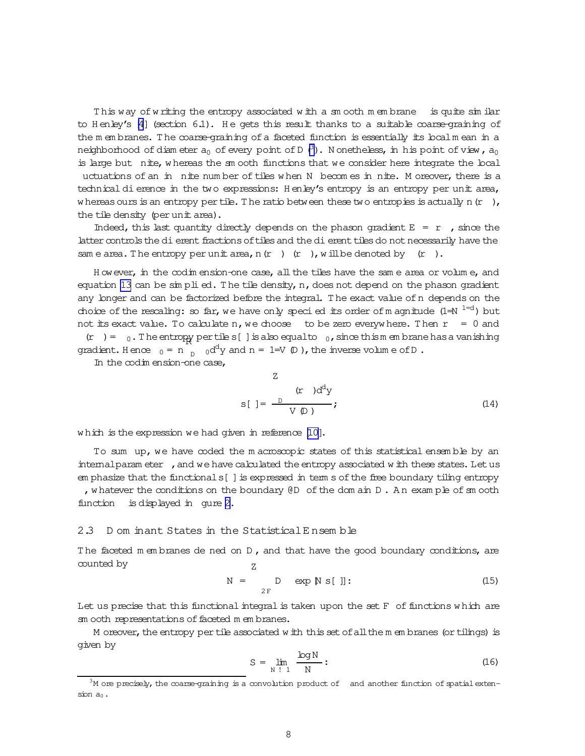This way of writing the entropy associated with a sm ooth m embrane is quite similar to H enley's [\[4](#page-17-0)] (section 6.1). He gets this result thanks to a suitable coarse-graining of the m em branes. The coarse-graining of a faceted function is essentially its local m ean in a neighborhood of diam eter  $a_0$  of every point of D  $(^3)$ . Nonetheless, in his point of view,  $a_0$ is large but nite, w hereas the sm ooth functions that we consider here integrate the local uctuations of an in nite number of tiles when N becomes in nite. M oreover, there is a technical dierence in the two expressions: H enley's entropy is an entropy per unit area, w hereas ours is an entropy per tile. The ratio between these two entropies is actually n( $r$ ), the tile density (per unit area).

Indeed, this last quantity directly depends on the phason gradient  $E = r$ , since the latter controls the dierent fractions of tiles and the dierent tiles do not necessarily have the sam e area. The entropy per unit area, n(r ) (r ), will be denoted by (r ).

H owever, in the codim ension-one case, allthe tiles have the sam e area or volum e, and equation [13](#page-6-0) can be  $\sin$  plied. The tile density, n, does not depend on the phason gradient any longer and can be factorized before the integral. T he exact value ofn depends on the choice of the rescaling: so far, we have only specied its order of magnitude  $(1= N^{-1-d})$  but not its exact value. To calculate n, we choose to be zero everywhere. Then  $r = 0$  and  $(r) = 0$ . The entropy pertiles [] is also equal to  $_0$ , since thism embrane has a vanishing gradient. Hence  $_0 = n \int_{D}^{D} 0 \, d^d y$  and  $n = 1 = V(D)$ , the inverse volume of D.

In the codim ension-one case,

$$
z
$$
\n
$$
s[ ] = \frac{D}{V(D)}; \tag{14}
$$

w hich is the expression we had given in reference [\[10\]](#page-17-0).

To sum up, we have coded the m acroscopic states of this statistical ensemble by an internal param eter , and we have calculated the entropy associated w ith these states. Let us em phasize that the functionals[ ]is expressed in term s ofthe free boundary tiling entropy , w hatever the conditions on the boundary  $\mathbb{d}D$  of the dom ain  $D$ . An example of sm ooth function is displayed in gure [2.](#page-8-0)

## 2.3 D om inant States in the StatisticalE nsem ble

The faceted m embranes de ned on  $D$ , and that have the good boundary conditions, are counted by Z

$$
N = D \exp[N s[]]: \qquad (15)
$$

Let us precise that this functional integral is taken upon the set  $F$  of functions which are sm ooth representations of faceted m em branes.

M oreover, the entropy per tile associated w ith this set of all the m em branes (or tilings) is given by

$$
S = \lim_{N \downarrow 1} \frac{\log N}{N} : \tag{16}
$$

 $3M$  ore precisely, the coarse-graining is a convolution product of and another function of spatial extension  $a_0$ .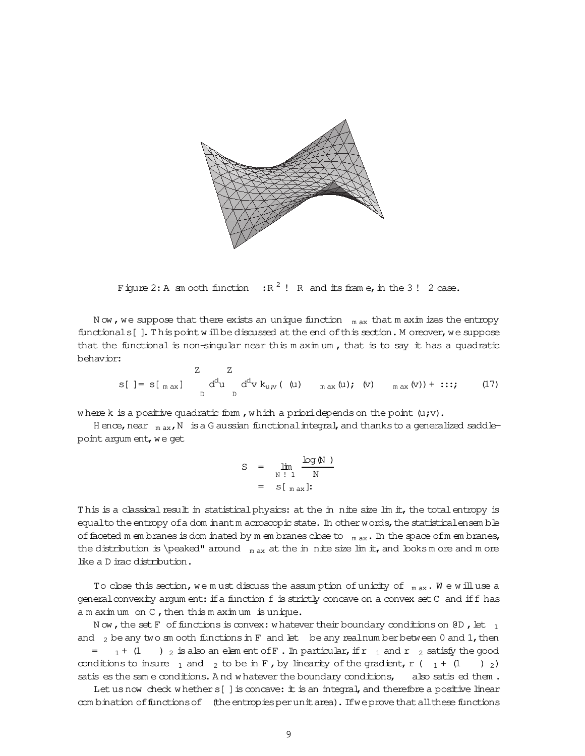<span id="page-8-0"></span>

Figure 2: A sm ooth function  $\mathbb{R}^2$  ! R and its frame, in the 3! 2 case.

Now, we suppose that there exists an unique function  $\theta$ <sub>m ax</sub> that m axim izes the entropy functionals []. This point will be discussed at the end of this section. Moreover, we suppose that the functional is non-singular near this  $m \times m$ , that is to say it has a quadratic behavior:

$$
z \t Z \t Z
$$
  
s[ ] = s[  $_{max}$  ]  $d^d u d^d v k_{u,v}$  ( (u)  $_{max}(u)$ ; (v)  $_{max}(v)$  ) + ...; (17)

where k is a positive quadratic form, which a prioridepends on the point  $(u,v)$ .

H ence, near  $_{\text{max}}$ , N is a G aussian functional integral, and thanks to a generalized saddlepoint argum ent, we get

$$
S = \lim_{N \downarrow 1} \frac{\log N}{N}
$$

$$
= S \left[ \max \right]
$$

This is a classical result in statistical physics: at the in nite size lim it, the total entropy is equalto the entropy of a dom inantm acroscopic state. In other words, the statisticalensemble of faceted m embranes is dom inated by m embranes close to  $_{max}$ . In the space of m embranes, the distribution is \peaked" around  $_{\rm max}$  at the in nite size lim it, and looks m ore and m ore like a D irac distribution.

To close this section, we must discuss the assumption of unicity of  $_{max}$ . We will use a general convexity argum ent: if a function f is strictly concave on a convex set C and if f has  $a$  m aximum on  $C$ , then this m aximum is unique.

Now, the set F of functions is convex: whatever their boundary conditions on  $\overline{CD}$ , let  $_1$ and  $_2$  be any two sm ooth functions in F and let be any real number between 0 and 1, then  $_1$  + (1)  $_2$  is also an element of F. In particular, if r  $_1$  and r  $_2$  satisfy the good  $=$ conditions to insure  $\frac{1}{1}$  and  $\frac{1}{2}$  to be in F, by linearity of the gradient, r ( $\frac{1}{1}$  + (1)  $\left( \begin{array}{cc} 0 & 0 \\ 0 & 0 \end{array} \right)$ satis es the same conditions. And whatever the boundary conditions, also satis ed them.

Let us now check whether s[] is concave: it is an integral, and therefore a positive linear com bination of functions of (the entropies per unit area). If we prove that all these functions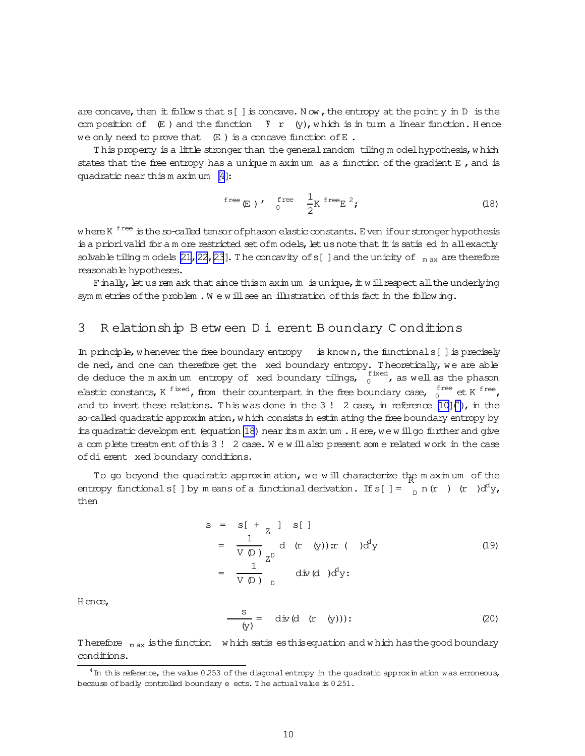<span id="page-9-0"></span>are concave, then  $\pm$  follow s that s[] is concave. Now, the entropy at the point y in D is the com position of  $(E)$  and the function  $Y \cap Y$  (y), which is in turn a linear function. H ence we only need to prove that  $(E)$  is a concave function of E.

This property is a little stronger than the general random tiling m odel hypothesis, w hich states that the free entropy has a unique m axim um as a function of the gradient  $E$ , and is quadratic near this  $m \text{ ax in um } [4]:$  $m \text{ ax in um } [4]:$  $m \text{ ax in um } [4]:$ 

$$
free (E) \qquad \int_{0}^{free} \frac{1}{2} K \, free (18)
$$

w here K <sup>free</sup> is the so-called tensor ofphason elastic constants. E ven ifour stronger hypothesis is a priorivalid for a m ore restricted set of models, let us note that  $\pm$  is satis ed in allexactly solvable tiling m odels [21, 22, [23](#page-18-0)]. The concavity of s[ ] and the unicity of  $_{\text{max}}$  are therefore reasonable hypotheses.

Finally, let us rem ark that since thism axim um is unique, it will respect all the underlying sym m etries of the problem. We will see an illustration of this fact in the following.

## 3 R elationship B etw een D ierent B oundary C onditions

In principle, w henever the free boundary entropy is known, the functionals  $[$  ] is precisely de ned, and one can therefore get the xed boundary entropy. Theoretically, we are able de deduce the maximum entropy of xed boundary tilings,  $\frac{f\text{ ised}}{0}$ , as well as the phason elastic constants, K  $^\text{fixed}$ , from their counterpart in the free boundary case,  $_0^\text{free}$  et K  $^\text{free}$ , and to invert these relations. This was done in the 3! 2 case, in reference  $[10]$ <sup>4</sup>), in the so-called quadratic approxim ation, w hich consists in estim ating the free boundary entropy by its quadratic developm ent (equation 18) near its m axim um . Here, we w ill go further and give a com plete treatm ent of this 3! 2 case. We will also present some related work in the case ofdierentxed boundary conditions.

To go beyond the quadratic approximation, we will characterize the maximum of the entropy functionals [ ] by m eans of a functional derivation. If  $s[$  ] =  $\int_D^b n(r) (r) d^d y$ , then

$$
s = s[ + z ] s [ ]
$$
  
\n
$$
= \frac{1}{V \varphi} d (r (y)) \mathbf{x} (d)^{d} y
$$
  
\n
$$
= \frac{1}{V \varphi} \frac{1}{D} d \dot{\mathbf{x}} (d)^{d} y;
$$
 (19)

H ence,

$$
\frac{\mathbf{s}}{\mathbf{(y)}} = \text{div}(\mathbf{d} \quad (\mathbf{r} \quad (\mathbf{y})))):
$$
 (20)

Therefore  $_{max}$  is the function which satis es this equation and w hich has the good boundary conditions.

 $4\,\mathrm{m}$  this reference, the value 0.253 of the diagonal entropy in the quadratic approxim ation was erroneous, because of badly controlled boundary e ects. The actual value is 0.251.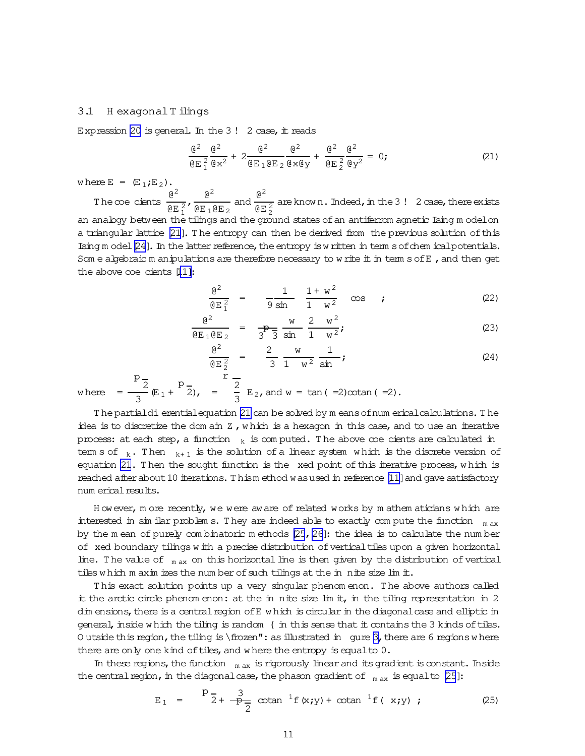### <span id="page-10-0"></span>3.1 Hexagonal Tilings

Expression 20 is general. In the  $3!$  2 case, it reads

$$
\frac{\mathbf{e}^2}{\mathbf{e} \mathbf{E}^2} \frac{\mathbf{e}^2}{\mathbf{e} \mathbf{x}^2} + 2 \frac{\mathbf{e}^2}{\mathbf{e} \mathbf{E}^2 \mathbf{e} \mathbf{E}^2} \frac{\mathbf{e}^2}{\mathbf{e} \mathbf{x} \mathbf{e} \mathbf{y}} + \frac{\mathbf{e}^2}{\mathbf{e} \mathbf{E}^2} \frac{\mathbf{e}^2}{\mathbf{e} \mathbf{y}^2} = 0; \tag{21}
$$

where  $E = (E_1, E_2)$ .

The coe cients  $\frac{\theta^2}{\theta E_1^2}$ ,  $\frac{\theta^2}{\theta E_1 \theta E_2}$  and  $\frac{\theta^2}{\theta E_2^2}$  are known. Indeed, in the 3! 2 case, there exists an anabgy between the tilings and the ground states of an antiferrom agnetic Ising model on a triangular lattice [21]. The entropy can then be derived from the previous solution of this Ising  $m$  odel  $[24]$ . In the latter reference, the entropy is written in term s of chem ical potentials. Som e algebraic m anipulations are therefore necessary to write it in term  $s$  of  $E$ , and then get the above  $\infty$ e cients [11]:

$$
\frac{\theta^2}{\theta E_1^2} = \frac{1}{9 \sin} \frac{1 + w^2}{1 - w^2} \cos ; \qquad (22)
$$

$$
\frac{\theta^2}{\theta E_1 \theta E_2} = \frac{w}{3^2} \frac{w}{3} \frac{2 w^2}{\sin \theta} i
$$
 (23)

$$
\frac{\mathfrak{E}^2}{\mathfrak{E} \frac{2}{2}} = \frac{2}{3} \frac{w}{1 - w^2} \frac{1}{\sin} ; \tag{24}
$$

where 
$$
=\frac{P\overline{2}}{3}(\mathbb{E}_1 + \frac{P\overline{2}}{2}), = \frac{1}{3}\mathbb{E}_2
$$
, and  $w = \tan(-2)\cot(\pi(-2)).$ 

The partial di erential equation 21 can be solved by m eans of num erical calculations. The idea is to discretize the dom ain  $Z$ , which is a hexagon in this case, and to use an iterative process: at each step, a function  $k$  is computed. The above coe cients are calculated in tem s of  $_k$ . Then  $_{k+1}$  is the solution of a linear system which is the discrete version of equation 21. Then the sought function is the xed point of this iterative process, which is reached after about 10 iterations. Thism ethod was used in reference [11] and gave satisfactory num erical results.

However, more recently, we were aware of related works by mathem aticians which are interested in simular problem s. They are indeed able to exactly compute the function  $_{max}$ by the mean of purely combinatoric methods [25, 26]: the idea is to calculate the number of xed boundary tilings with a precise distribution of vertical tiles upon a given horizontal line. The value of  $_{max}$  on this horizontal line is then given by the distribution of vertical tiles which m axim izes the number of such tilings at the in nite size limit.

This exact solution points up a very singular phenom enon. The above authors called it the arctic circle phenom enon: at the in nite size  $\lim_{t \to \infty}$  in the tiling representation in 2 dim ensions, there is a central region of E which is circular in the diagonal case and elliptic in general, inside which the tiling is random { in this sense that it contains the 3 kinds of tiles. O utside this region, the tiling is  $\frac{m}{1}$  as illustrated in gure 3, there are 6 regions where there are only one kind of tiles, and where the entropy is equal to  $0$ .

In these regions, the function  $_{\text{max}}$  is rigorously linear and its gradient is constant. Inside the central region, in the diagonal case, the phason gradient of  $_{\text{max}}$  is equal to [25]:

$$
E_1 = \frac{p-3}{2} + \frac{3}{p-2} \text{ \quad } {}^1f(x; y) + \text{ \quad } {}^1f(x; y) ; \qquad (25)
$$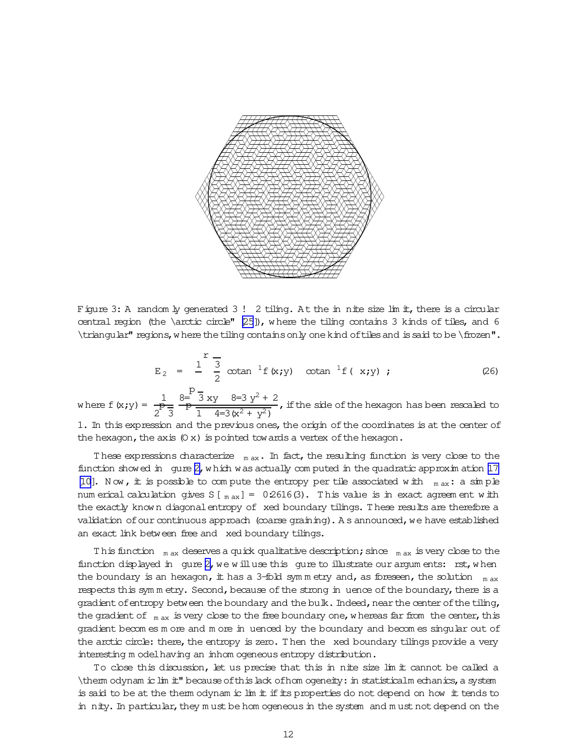<span id="page-11-0"></span>

Figure 3: A random ly generated 3! 2 tiling. At the in nite size lim it, there is a circular central region (the \arctic circle" [\[25](#page-18-0)]), w here the tiling contains 3 kinds of tiles, and 6 \triangular" regions, w here the tiling contains only one kind of tiles and is said to be \frozen".

$$
E_2 = \frac{1}{2} \sum_{i=1}^{r} \sigma_i \cot \frac{1}{2} f(x_i y) \cot \frac{1}{2} f(x_i y)
$$
 (26)

where  $f(x; y) = \frac{1}{P}$ 2  $\vec{\mathrm{P}}$ 3 8= p  $\frac{1}{\frac{p}{\sqrt{1}}}\frac{3 \times 10^{-3} \text{ s}}{4=3(x^2+y^2)}$ , if the side of the hexagon has been rescaled to

1. In this expression and the previous ones, the origin of the coordinates is at the center of the hexagon, the axis  $(0 x)$  is pointed tow ards a vertex of the hexagon.

These expressions characterize  $_{\text{max}}$ . In fact, the resulting function is very close to the function showed in gure  $2$ , which was actually computed in the quadratic approximation  $17$ [\[10\]](#page-17-0). Now, it is possible to compute the entropy per tile associated with  $_{\text{max}}$ : a simple num erical calculation gives  $S_{\text{m}ax}$ ] = 0.2616(3). This value is in exact agreem ent with the exactly known diagonal entropy of xed boundary tilings. These results are therefore a validation of our continuous approach (coarse graining). As announced, we have established an exact link between free and xed boundary tilings.

T his function  $m_{\text{max}}$  deserves a quick qualitative description; since  $m_{\text{max}}$  is very close to the function displayed in gure  $2$ , we will use this gure to illustrate our argum ents: rst, when the boundary is an hexagon, it has a 3-fold symmetry and, as foreseen, the solution  $_{max}$ respects this symmetry. Second, because of the strong in uence of the boundary, there is a gradient of entropy between the boundary and the bulk. Indeed, near the center of the tiling, the gradient of  $_{\text{max}}$  is very close to the free boundary one, w hereas far from the center, this gradient becom es m ore and m ore in
uenced by the boundary and becom es singular out of the arctic circle: there, the entropy is zero. Then the xed boundary tilings provide a very interesting m odelhaving an inhom ogeneous entropy distribution.

To close this discussion, let us precise that this in nite size lim it cannot be called a \therm odynam iclim it" becauseofthislack ofhom ogeneity:in statisticalm echanics,a system is said to be at the therm odynam ic lim it if its properties do not depend on how it tends to in nity. In particular, they m ust be hom ogeneous in the system and m ust not depend on the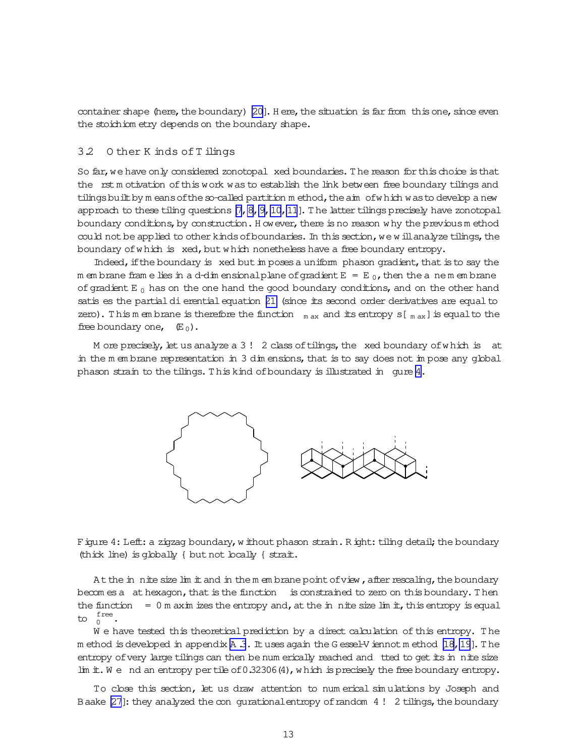<span id="page-12-0"></span>container shape (here, the boundary)  $[20]$ . H ere, the situation is far from this one, since even the stoichiom etry depends on the boundary shape.

## 3.2 O ther K inds ofT ilings

So far, we have only considered zonotopal xed boundaries. The reason for this choice is that the rst m otivation ofthis work was to establish the link between free boundary tilings and tilings built by m eans of the so-called partition m ethod, the aim of w hich was to develop a new approach to these tiling questions  $[7, 8, 9, 10, 11]$ . The latter tilings precisely have zonotopal boundary conditions, by construction. H owever, there is no reason w hy the previous method could not be applied to other kinds of boundaries. In this section, we w ill analyze tilings, the boundary of which is xed, but which nonetheless have a free boundary entropy.

Indeed, if the boundary is xed but in poses a uniform phason gradient, that is to say the m em brane fram e lies in a d-dim ensional plane of gradient  $E = E_0$ , then the a nem em brane of gradient E<sub>0</sub> has on the one hand the good boundary conditions, and on the other hand satis es the partial di erential equation [21](#page-10-0) (since its second order derivatives are equal to zero). This m em brane is therefore the function  $_{m \text{ ax}}$  and its entropy s[ $_{m \text{ ax}}$ ] is equalto the free boundary one,  $(E_0)$ .

M ore precisely, let us analyze a  $3!$  2 class of tilings, the xed boundary of which is at in the m em brane representation in 3 dim ensions, that is to say does not im pose any global phason strain to the tilings. This kind of boundary is illustrated in gure 4.



Figure 4: Left: a zigzag boundary, w ithout phason strain. R ight: tiling detail; the boundary (thick line) is globally { butnot locally { strait.

At the in nite size lim it and in the m em brane point of view, after rescaling, the boundary becom es a athexagon, that is the function is constrained to zero on this boundary. Then the function  $= 0$  m axim izes the entropy and, at the in nite size lim it, this entropy is equal to  $_{0}^{\text{free}}$ .

W e have tested this theoretical prediction by a direct calculation of this entropy. The m ethod is developed in appendix A 3. It uses again the G essel-V iennot m ethod  $[18, 19]$ . The entropy of very large tilings can then be num erically reached and tted to get its in nite size lim it. We nd an entropy per tile of 0.32306(4), which is precisely the free boundary entropy.

To close this section, let us draw attention to num erical sim ulations by Joseph and Baake  $[27]$ : they analyzed the con-gurational entropy of random 4! 2 tilings, the boundary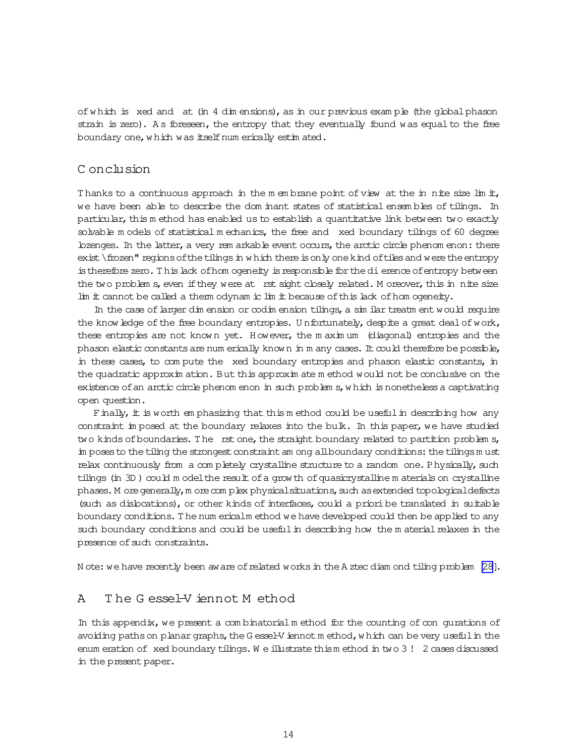of which is xed and at (in 4 dim ensions), as in our previous example (the global phason strain is zero). As foreseen, the entropy that they eventually found was equal to the free boundary one, which was itself num erically estimated.

## C onclusion

Thanks to a continuous approach in the m embrane point of view at the in nite size limit, we have been able to describe the dom inant states of statistical ensembles of tilings. In particular, this method has enabled us to establish a quantitative link between two exactly solvable models of statistical mechanics, the free and xed boundary tilings of 60 degree lozenges. In the latter, a very rem arkable event occurs, the arctic circle phenom enon: there exist \frozen" regions of the tilings in which there is only one kind of tiles and were the entropy is therefore zero. This lack of hom ogeneity is responsible for the di erence of entropy between the two problem s, even if they were at rst sight closely related. Moreover, this in nite size lim it cannot be called a them odynam ic lim it because of this lack of hom ogeneity.

In the case of larger dim ension or codim ension tilings, a similar treatm ent would require the know ledge of the free boundary entropies. Unfortunately, despite a great deal of work, these entropies are not known yet. However, the maximum (diagonal) entropies and the phason elastic constants are num erically known in m any cases. It could therefore be possible, in these cases, to compute the xed boundary entropies and phason elastic constants, in the quadratic approxim ation. But this approxim atem ethod would not be conclusive on the existence of an arctic circle phenom enon in such problem s, which is nonetheless a captivating open question.

Finally, it is worth emphasizing that this method could be useful in describing how any constraint in posed at the boundary relaxes into the bulk. In this paper, we have studied two kinds of boundaries. The rst one, the straight boundary related to partition problem s, in poses to the tiling the strongest constraint am ong all boundary conditions: the tilings must relax continuously from a completely crystalline structure to a random one. Physically, such tilings (in 3D) could model the result of a grow th of quasicrystalline materials on crystalline phases. More generally, more complex physical situations, such as extended topological defects (such as dislocations), or other kinds of interfaces, could a priori be translated in suitable boundary conditions. The num ericalm ethod we have developed could then be applied to any such boundary conditions and could be useful in describing how the material relaxes in the presence of such constraints.

Note: we have recently been aware of related works in the A ztec diam ond tiling problem [28].

#### The Gessel-V iennot Method  $\overline{A}$

In this appendix, we present a combinatorial method for the counting of con gurations of avoiding paths on planar graphs, the G essel-V iennot m ethod, which can be very useful in the enum eration of xed boundary tilings. We illustrate thism ethod in two  $3!2$  cases discussed in the present paper.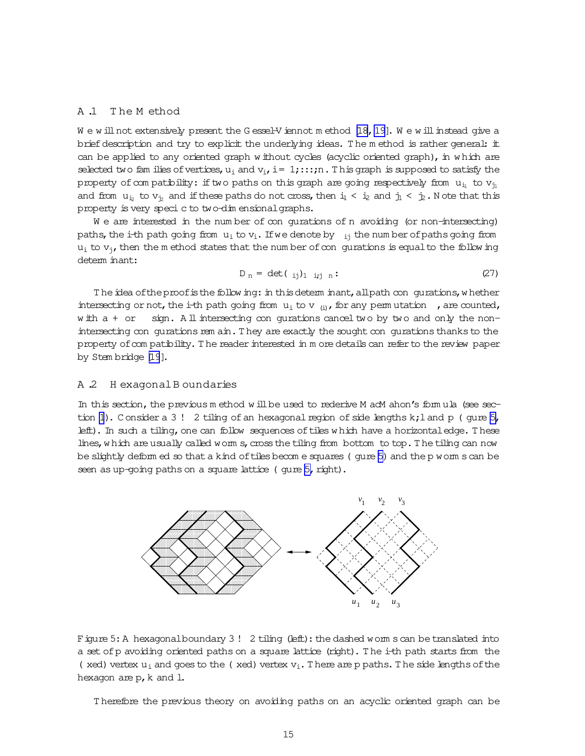## <span id="page-14-0"></span>A .1 T he M ethod

W e w ill not extensively present the G essel-V iennot m ethod [18, 19]. W e w ill instead give a brief description and try to explicit the underlying ideas. The m ethod is rather general: it can be applied to any oriented graph w ithout cycles (acyclic oriented graph), in w hich are selected two fam ilies of vertices,  $u_i$  and  $v_i$ , i= 1;::;n. This graph is supposed to satisfy the property of com patibility: if two paths on this graph are going respectively from  $u_{i_1}$  to  $v_{i_1}$ and from  $u_{i_2}$  to  $v_{i_2}$  and if these paths do not cross, then  $i_1 < i_2$  and  $j_1 < j_2$ . Note that this property is very specic to two-dim ensionalgraphs.

We are interested in the number of congurations of n avoiding (or non-intersecting) paths, the i-th path going from  $u_i$  to  $v_i$ . If we denote by  $i_j$  the num ber of paths going from  $u_i$  to  $v_i$ , then the m ethod states that the num ber of congurations is equal to the follow ing determ inant:

$$
D_n = \det(\begin{array}{c} 1 \\ 1 \end{array}) \quad \text{if} \quad n: \tag{27}
$$

The idea of the proof is the follow ing: in this determ inant, all path con gurations, w hether intersecting or not, the i-th path going from  $u_i$  to v  $_{(i)}$ , for any perm utation , are counted, w ith a + or sign. All intersecting con gurations cancel two by two and only the nonintersecting con gurations rem ain. They are exactly the sought con gurations thanks to the property ofcom patibility. T he readerinterested in m ore detailscan referto the review paper by Stem bridge [\[19](#page-18-0)].

#### A .2 H exagonalB oundaries

In this section, the previous m ethod w ill be used to rederive M acM ahon's form ula (see sec-tion [1](#page-1-0)). Consider a 3! 2 tiling of an hexagonal region of side lengths  $k;1$  and  $p$  (gure 5, left). In such a tiling, one can follow sequences of tiles which have a horizontal edge. These lines, which are usually called worm s, cross the tiling from bottom to top. The tiling can now be slightly deform ed so that a kind of tiles becom e squares (gure 5) and the p worm scan be seen as up-going paths on a square lattice ( gure 5, right).



Figure 5: A hexagonalboundary 3 ! 2 tiling (left): the dashed worm scan be translated into a set ofp avoiding oriented paths on a square lattice (right). T he i-th path starts from the (xed) vertex  $u_i$  and goes to the (xed) vertex  $v_i$ . There are p paths. The side lengths of the hexagon are  $p$ ,  $k$  and  $l$ .

T herefore the previous theory on avoiding paths on an acyclic oriented graph can be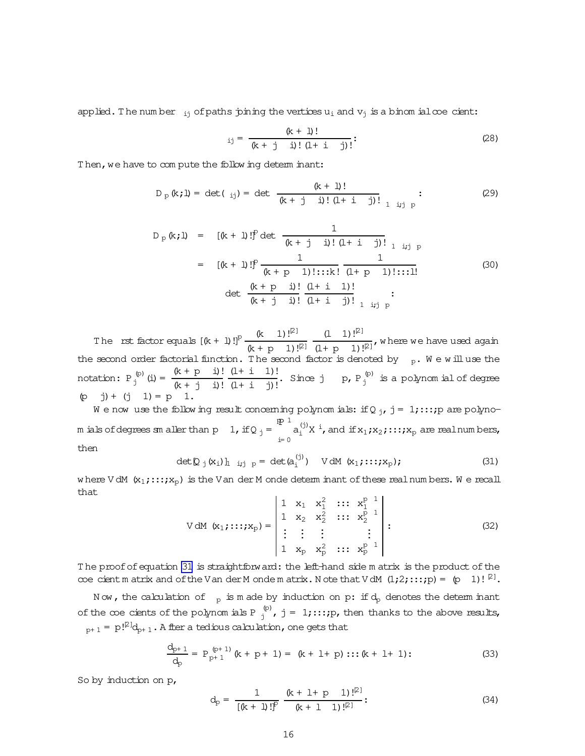applied. The num ber  $_{ij}$  of paths joining the vertices  $u_i$  and  $v_j$  is a binom ial coecient:

$$
x_{ij} = \frac{(k+1)!}{(k+j-i)! (l+i-j)!}.
$$
 (28)

Then, we have to com pute the follow ing determ inant:

$$
D_{p}(k;1) = \det(\begin{array}{c} \text{if } k+1 \text{ if } k \neq 0 \end{array}) = \det \frac{(k+1)!}{(k+1)! \text{ if } (1+1-j)!} \begin{array}{c} \text{if } k \neq 0 \end{array}
$$
 (29)

$$
D_{p}(k;1) = [(k+1)!]^{p} det \frac{1}{(k+j-1)!(1+i-j)!}
$$
  
\n
$$
= [(k+1)!]^{p} \frac{1}{(k+p-1)!\dots k!} \frac{1}{(1+p-1)!\dots 1!}
$$
  
\n
$$
det \frac{(k+p-1)!}{(k+j-1)!} \frac{(1+i-1)!}{(1+i-j)!}
$$
  
\n(30)

The rst factor equals  $[(k + 1)!]^p \frac{(k - 1)!^{[2]}}{(k + p - 1)!^{[2]}}$  $(1 \ 1) !^{[2]}$  $\frac{(1+2i)!}{(1+p-1)!^2}$ , where we have used again the second order factorial function. The second factor is denoted by  $p_p$ . We will use the notation:  $P_j^{(p)}$  (i) =  $\frac{(k+p-i)!}{(k+j-i)!}$  $(k + j i)!$  $(1 + i 1)!$  $\frac{(1+1)!}{(1+1-j)!}$ . Since j p, P<sub>j</sub><sup>(p)</sup> is a polynom ial of degree (p j)+ (j 1)= p 1.

We now use the follow ing result concerning polynom ials: if Q  $_{\rm j}$ , j = 1;:::; p are polynom ials of degrees sm aller than  $p - 1$ , if Q  $_j$  =  $\mathbb{P}$  1 i= 0  $\mathtt{a}_{\mathtt{i}}^{(\mathtt{j})}\mathtt{X}^{\mathtt{i}}$ , and if  $\mathtt{x}_1$ ; $\mathtt{x}_2$ ;:::; $\mathtt{x}_\mathtt{p}$  are realnum bers, then

$$
\det \mathbf{Q}_{j}(\mathbf{x}_{i})\mathbf{h}_{i,j} = \det(\mathbf{a}_{i}^{(j)}) \quad \text{V dM } (\mathbf{x}_{1}; \ldots; \mathbf{x}_{p}); \tag{31}
$$

where V dM  $(x_1;...;x_p)$  is the V an der M onde determ inant of these realnum bers. We recall that

V dM 
$$
(x_1, \ldots, x_p) = \begin{vmatrix} 1 & x_1 & x_1^2 & \ldots & x_1^{p-1} \\ 1 & x_2 & x_2^2 & \ldots & x_2^{p-1} \\ \vdots & \vdots & \vdots & & \vdots \\ 1 & x_p & x_p^2 & \ldots & x_p^{p-1} \end{vmatrix}
$$
 : (32)

The proof of equation 31 is straightforward: the left-hand side m atrix is the product of the coe cientm atrix and of the Van der M onde m atrix. N ote that V dM  $(1,2);::;p) = (p \ 1)!\ 2^1$ .

N ow, the calculation of  $p$  is m ade by induction on p: if  $d_p$  denotes the determ inant of the coe cients of the polynom ials P  $_j^{(p)}$ , j = 1;:::;p, then thanks to the above results,  $p+1 = p!^{\mathcal{P} \mathcal{Q}}$  ,  $p+1$  . A fter a tedious calculation , one gets that

$$
\frac{d_{p+1}}{d_p} = P_{p+1}^{(p+1)}(k + p + 1) = (k + 1 + p) \dots (k + 1 + 1); \tag{33}
$$

So by induction on p,

$$
d_{p} = \frac{1}{\left[\left(k + 1\right)!\right]^{p}} \frac{\left(k + 1 + p \quad 1\right)!\right[^{2}]}{\left(k + 1 \quad 1\right)!\right[^{2}]} \tag{34}
$$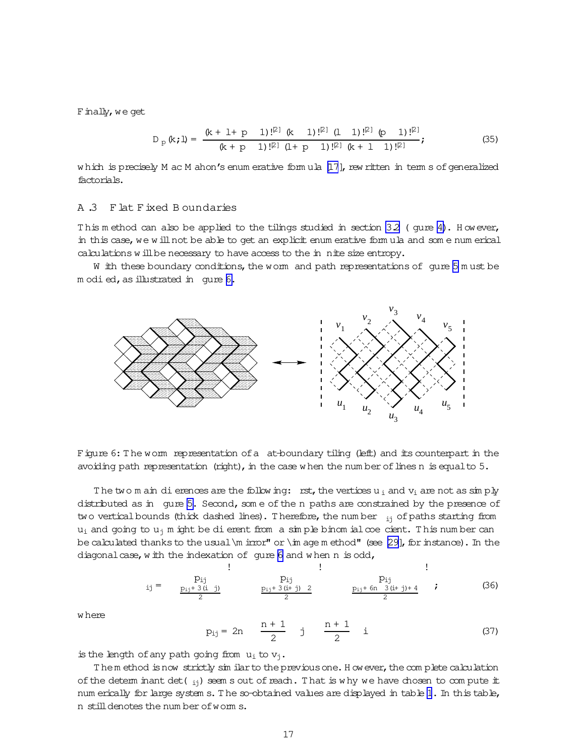<span id="page-16-0"></span>Finally, we get

$$
D_p(k; l) = \frac{(k + l + p \ 1) !^{[2]} (k \ 1) !^{[2]} (l \ 1) !^{[2]} (p \ 1) !^{[2]}}{(k + p \ 1) !^{[2]} (l + p \ 1) !^{[2]} (k + l \ 1) !^{[2]}};
$$
\n(35)

w hich is precisely  $M$  ac  $M$  ahon's enum erative form ula  $[17]$ , rew ritten in term s of generalized factorials.

## A .3 Flat Fixed B oundaries

This m ethod can also be applied to the tilings studied in section  $3.2$  (gure [4\)](#page-12-0). However, in this case, we will not be able to get an explicit enum erative form ula and som e num erical calculations w ill be necessary to have access to the in nite size entropy.

W ith these boundary conditions, the worm and path representations of gure  $5$  m ust be m odied, as illustrated in gure 6.



Figure 6: The worm representation of a at-boundary tiling (left) and its counterpart in the avoiding path representation (right), in the case w hen the num ber of lines n is equal to  $5$ .

The two m ain dierences are the following: rst, the vertices  $u_i$  and  $v_i$  are not as simply distributed as in gure [5.](#page-14-0) Second, som e of the n paths are constrained by the presence of two vertical bounds (thick dashed lines). Therefore, the num ber  $_{ij}$  of paths starting from  $u_i$  and going to  $u_j$  m ight be dierent from a simple binom ialcoe cient. This num ber can be calculated thanks to the usual  $\langle m \rangle$  irror" or  $\langle m \rangle$  age m ethod" (see [\[29\]](#page-18-0), for instance). In the diagonal case, with the indexation of gure 6 and when  $n$  is odd,

ij = pij pij+ 3(i j) 2 ! pij pij+ 3(i+ j) 2 2 ! pij pij+ 6n 3(i+ j)+ 4 2 ! ; (36)

w here

$$
p_{ij} = 2n \frac{n+1}{2} j \frac{n+1}{2} i \tag{37}
$$

is the length of any path going from  $u_i$  to  $v_i$ .

T hem ethod isnow strictly sim ilarto thepreviousone.H owever,thecom plete calculation of the determ inant det( $_{ij}$ ) seem s out of reach. That is why we have chosen to compute it num erically for large system s. The so-obtained values are displayed in table [1](#page-17-0). In this table, n stilldenotes the num ber ofworm s.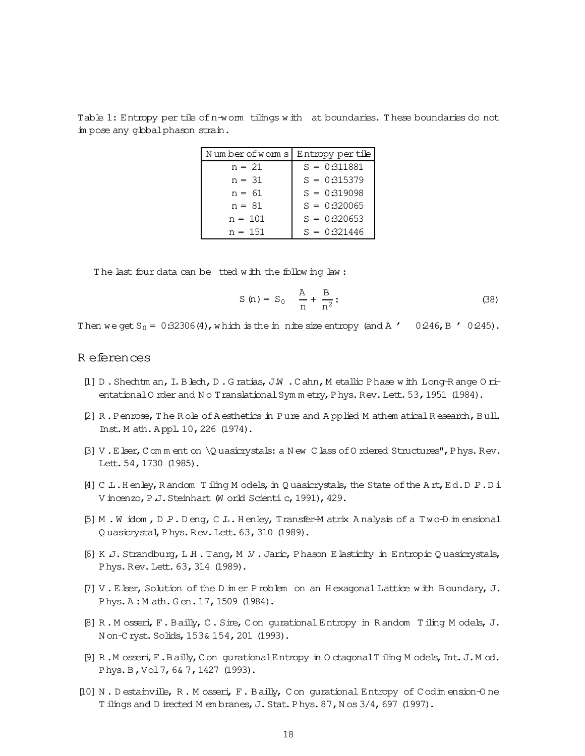<span id="page-17-0"></span>Table 1: Entropy per tile of n-worm tilings with at boundaries. These boundaries do not im pose any global phason strain.

| Numberofworms | Entropy per tile |
|---------------|------------------|
| $n = 21$      | $S = 0:311881$   |
| $n = 31$      | $S = 0:315379$   |
| $n = 61$      | $S = 0:319098$   |
| $n = 81$      | $S = 0:320065$   |
| $n = 101$     | $S = 0:320653$   |
| $n = 151$     | $S = 0:321446$   |

The last four data can be tted with the following law:

$$
S(n) = S_0 \quad \frac{A}{n} + \frac{B}{n^2}:
$$
 (38)

Then we get  $S_0 = 0.32306(4)$ , which is the in nite size entropy (and A ' 0.246, B ' 0.245).

## R eferences

- [1] D. Shechtman, I. Blech, D. Gratias, J.W. Cahn, Metallic Phase with Long-Range Orientational O rder and N o Translational Symm etry, Phys. Rev. Lett. 53, 1951 (1984).
- [2] R. Penrose, The Role of A esthetics in Pure and Applied M athem atical Research, Bull. Inst. M ath. Appl. 10, 226 (1974).
- $\beta$ ] V. E lser, C om m ent on  $\Q$  uasicrystals: a N ew C lass of O rdered Structures", P hys. Rev. Lett. 54, 1730 (1985).
- [4] C L. Henley, R andom Tiling M odels, in Q uasicrystals, the State of the Art, Ed. D P. D i V incenzo, P J. Steinhart (W orld Scienti c, 1991), 429.
- [5] M. Widom, D.P. Deng, C.L. Henley, Transfer-Matrix Analysis of a Two-Dimensional Quasicrystal, Phys. Rev. Lett. 63, 310 (1989).
- [6] K J. Strandburg, L H. Tang, M V. Jaric, Phason E lasticity in Entropic Quasicrystals, Phys. Rev. Lett. 63, 314 (1989).
- [7] V. Elser, Solution of the D in er P roblem on an H exagonal Lattice with Boundary, J. Phys. A: Math. Gen. 17, 1509 (1984).
- [8] R. Mosseri, F. Bailly, C. Sire, Con gurational Entropy in Random Tiling Models, J. Non-Cryst. Solids, 153& 154, 201 (1993).
- [9] R.M osseri, F.Bailly, Con gurational Entropy in Octagonal Tiling Models, Int. J.Mod. Phys. B, Vol 7, 6& 7, 1427 (1993).
- [10] N.Destainville, R.Mosseri, F.Bailly, Con gurational Entropy of Codimension-One T ilings and D irected M embranes, J. Stat. Phys. 87, N os 3/4, 697 (1997).